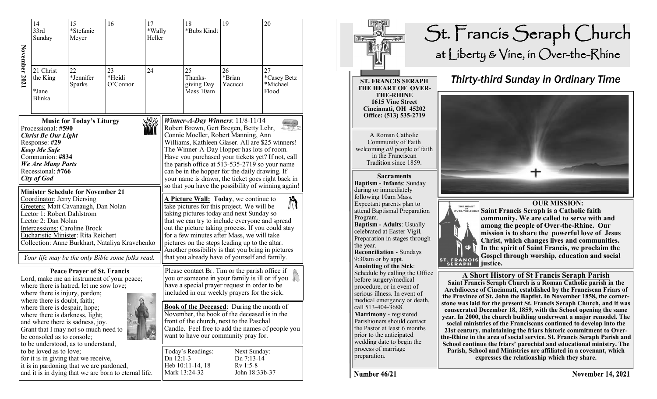|                                                                                                                                                                                                                                                                                                                                                                                                                                                                                                                                                                      | 14<br>33rd<br>Sunday                                                                                                                                                                                                                                                                                                                                                                                                                          | 15<br>*Stefanie<br>Meyer           | 16                                                                                                 | 17<br>*Wally<br>Heller |                                                                                                                                                                                                                                                                                                                                                                                                                                                                                                                                                                                                                                                                                                                                                                                                                                                                                                                                                                       | 18<br>*Bubs Kindt                                      | 19                                                                                                                                                                                                                                                                                                                                                                                                                                                                                                         | 20 |
|----------------------------------------------------------------------------------------------------------------------------------------------------------------------------------------------------------------------------------------------------------------------------------------------------------------------------------------------------------------------------------------------------------------------------------------------------------------------------------------------------------------------------------------------------------------------|-----------------------------------------------------------------------------------------------------------------------------------------------------------------------------------------------------------------------------------------------------------------------------------------------------------------------------------------------------------------------------------------------------------------------------------------------|------------------------------------|----------------------------------------------------------------------------------------------------|------------------------|-----------------------------------------------------------------------------------------------------------------------------------------------------------------------------------------------------------------------------------------------------------------------------------------------------------------------------------------------------------------------------------------------------------------------------------------------------------------------------------------------------------------------------------------------------------------------------------------------------------------------------------------------------------------------------------------------------------------------------------------------------------------------------------------------------------------------------------------------------------------------------------------------------------------------------------------------------------------------|--------------------------------------------------------|------------------------------------------------------------------------------------------------------------------------------------------------------------------------------------------------------------------------------------------------------------------------------------------------------------------------------------------------------------------------------------------------------------------------------------------------------------------------------------------------------------|----|
| November 2021                                                                                                                                                                                                                                                                                                                                                                                                                                                                                                                                                        | 21 Christ<br>22<br>24<br>23<br>the King<br>*Jennifer<br>*Heidi<br>Sparks<br>O'Connor<br>*Jane<br>Blinka                                                                                                                                                                                                                                                                                                                                       |                                    |                                                                                                    |                        | 25<br>Thanks-<br>giving Day<br>Mass 10am                                                                                                                                                                                                                                                                                                                                                                                                                                                                                                                                                                                                                                                                                                                                                                                                                                                                                                                              | 26<br>*Brian<br>Yacucci                                | 27<br>*Casey Betz<br>*Michael<br>Flood                                                                                                                                                                                                                                                                                                                                                                                                                                                                     |    |
| <b>Music for Today's Liturgy</b><br>Processional: #590<br><b>Christ Be Our Light</b><br>Response: #29<br><b>Keep Me Safe</b><br>Communion: #834<br>We Are Many Parts<br>Recessional: #766<br>City of God<br><b>Minister Schedule for November 21</b><br>Coordinator: Jerry Diersing<br>Greeters: Matt Cavanaugh, Dan Nolan<br>Lector 1: Robert Dahlstrom<br>Lector 2: Dan Nolan<br><b>Intercessions: Caroline Brock</b><br>Eucharistic Minister: Rita Reichert<br>Collection: Anne Burkhart, Nataliya Kravchenko<br>Your life may be the only Bible some folks read. |                                                                                                                                                                                                                                                                                                                                                                                                                                               |                                    |                                                                                                    |                        | Winner-A-Day Winners: $11/8-11/14$<br>Robert Brown, Gert Bregen, Betty Lehr,<br>Connie Moeller, Robert Manning, Ann<br>Williams, Kathleen Glaser. All are \$25 winners!<br>The Winner-A-Day Hopper has lots of room.<br>Have you purchased your tickets yet? If not, call<br>the parish office at 513-535-2719 so your name<br>can be in the hopper for the daily drawing. If<br>your name is drawn, the ticket goes right back in<br>so that you have the possibility of winning again!<br>A Picture Wall: Today, we continue to<br>$\boldsymbol{\mathbb{N}}$<br>take pictures for this project. We will be<br>taking pictures today and next Sunday so<br>that we can try to include everyone and spread<br>out the picture taking process. If you could stay<br>for a few minutes after Mass, we will take<br>pictures on the steps leading up to the altar.<br>Another possibility is that you bring in pictures<br>that you already have of yourself and family. |                                                        |                                                                                                                                                                                                                                                                                                                                                                                                                                                                                                            |    |
|                                                                                                                                                                                                                                                                                                                                                                                                                                                                                                                                                                      | where there is hatred, let me sow love;<br>where there is injury, pardon;<br>where there is doubt, faith;<br>where there is despair, hope;<br>where there is darkness, light;<br>and where there is sadness, joy.<br>Grant that I may not so much need to<br>be consoled as to console;<br>to be understood, as to understand,<br>to be loved as to love;<br>for it is in giving that we receive,<br>it is in pardoning that we are pardoned, | <b>Peace Prayer of St. Francis</b> | Lord, make me an instrument of your peace;<br>and it is in dying that we are born to eternal life. |                        | Dn 12:1-3                                                                                                                                                                                                                                                                                                                                                                                                                                                                                                                                                                                                                                                                                                                                                                                                                                                                                                                                                             | Today's Readings:<br>Heb 10:11-14, 18<br>Mark 13:24-32 | Please contact Br. Tim or the parish office if<br>you or someone in your family is ill or if you<br>have a special prayer request in order to be<br>included in our weekly prayers for the sick.<br><b>Book of the Deceased:</b> During the month of<br>November, the book of the deceased is in the<br>front of the church, next to the Paschal<br>Candle. Feel free to add the names of people you<br>want to have our community pray for.<br>Next Sunday:<br>Dn 7:13-14<br>$Rv$ 1:5-8<br>John 18:33b-37 |    |



Number 46/21